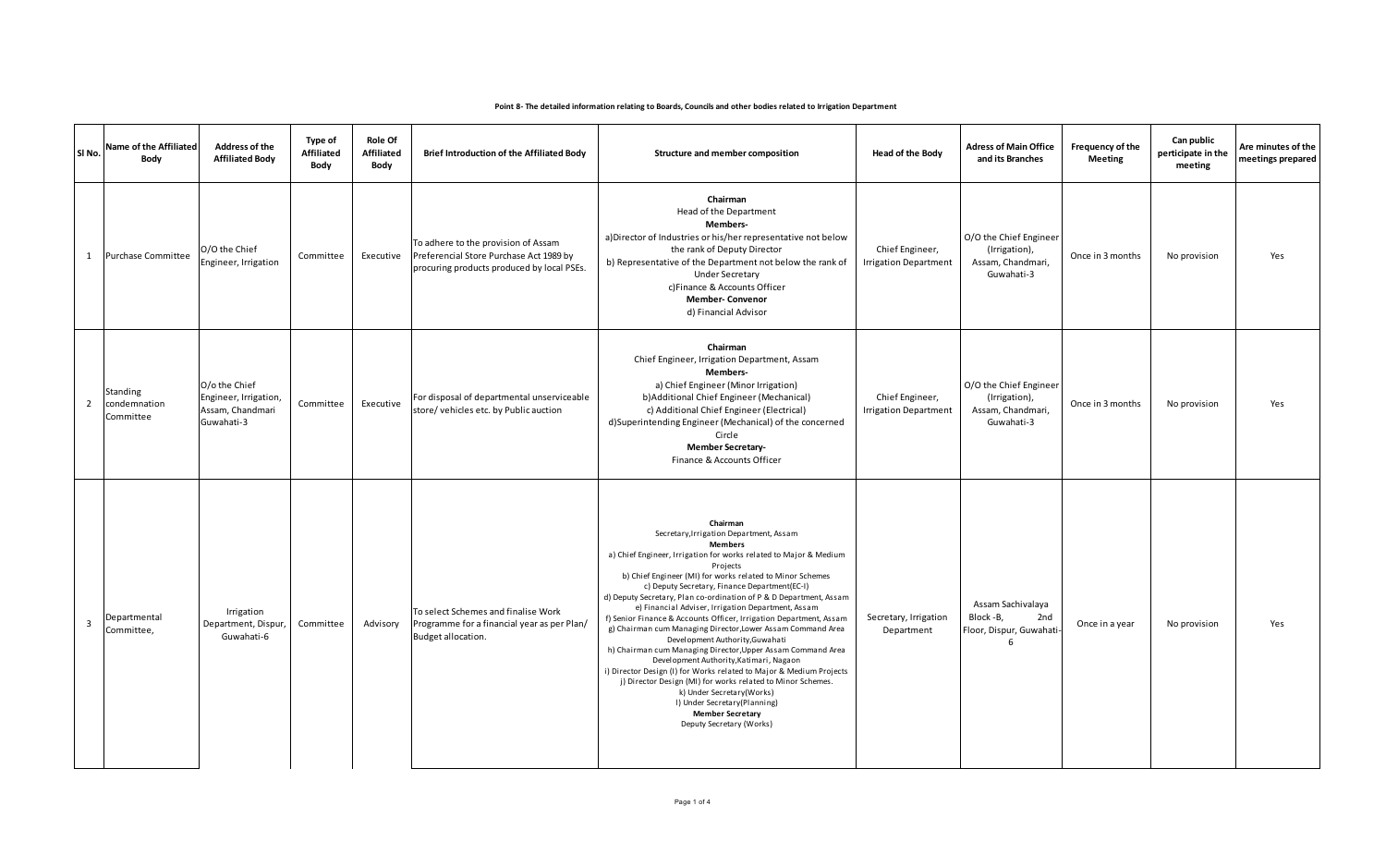| SI <sub>No.</sub>       | Name of the Affiliated<br>Body        | Address of the<br><b>Affiliated Body</b>                                 | <b>Type of</b><br>Affiliated<br>Body | <b>Role Of</b><br>Affiliated<br>Body | Brief Introduction of the Affiliated Body                                                                                    | Structure and member composition                                                                                                                                                                                                                                                                                                                                                                                                                                                                                                                                                                                                                                                                                                                                                                                                                                                                                                              | <b>Head of the Body</b>                         | <b>Adress of Main Office</b><br>and its Branches                           | Frequency of the<br><b>Meeting</b> | Can public<br>perticipate in the<br>meeting | Are minutes of the<br>meetings prepared |
|-------------------------|---------------------------------------|--------------------------------------------------------------------------|--------------------------------------|--------------------------------------|------------------------------------------------------------------------------------------------------------------------------|-----------------------------------------------------------------------------------------------------------------------------------------------------------------------------------------------------------------------------------------------------------------------------------------------------------------------------------------------------------------------------------------------------------------------------------------------------------------------------------------------------------------------------------------------------------------------------------------------------------------------------------------------------------------------------------------------------------------------------------------------------------------------------------------------------------------------------------------------------------------------------------------------------------------------------------------------|-------------------------------------------------|----------------------------------------------------------------------------|------------------------------------|---------------------------------------------|-----------------------------------------|
| 1                       | <b>Purchase Committee</b>             | O/O the Chief<br>Engineer, Irrigation                                    | Committee                            | Executive                            | To adhere to the provision of Assam<br>Preferencial Store Purchase Act 1989 by<br>procuring products produced by local PSEs. | Chairman<br>Head of the Department<br>Members-<br>a) Director of Industries or his/her representative not below<br>the rank of Deputy Director<br>b) Representative of the Department not below the rank of<br><b>Under Secretary</b><br>c) Finance & Accounts Officer<br><b>Member-Convenor</b><br>d) Financial Advisor                                                                                                                                                                                                                                                                                                                                                                                                                                                                                                                                                                                                                      | Chief Engineer,<br><b>Irrigation Department</b> | O/O the Chief Engineer<br>(Irrigation),<br>Assam, Chandmari,<br>Guwahati-3 | Once in 3 months                   | No provision                                | Yes                                     |
| $\overline{2}$          | Standing<br>condemnation<br>Committee | O/o the Chief<br>Engineer, Irrigation,<br>Assam, Chandmari<br>Guwahati-3 | Committee                            | Executive                            | For disposal of departmental unserviceable<br>store/vehicles etc. by Public auction                                          | Chairman<br>Chief Engineer, Irrigation Department, Assam<br>Members-<br>a) Chief Engineer (Minor Irrigation)<br>b) Additional Chief Engineer (Mechanical)<br>c) Additional Chief Engineer (Electrical)<br>d)Superintending Engineer (Mechanical) of the concerned<br>Circle<br><b>Member Secretary-</b><br>Finance & Accounts Officer                                                                                                                                                                                                                                                                                                                                                                                                                                                                                                                                                                                                         | Chief Engineer,<br><b>Irrigation Department</b> | O/O the Chief Engineer<br>(Irrigation),<br>Assam, Chandmari,<br>Guwahati-3 | Once in 3 months                   | No provision                                | Yes                                     |
| $\overline{\mathbf{3}}$ | Departmental<br>Committee,            | Irrigation<br>Department, Dispur,<br>Guwahati-6                          | Committee                            | Advisory                             | To select Schemes and finalise Work<br>Programme for a financial year as per Plan/<br>Budget allocation.                     | Chairman<br>Secretary, Irrigation Department, Assam<br><b>Members</b><br>a) Chief Engineer, Irrigation for works related to Major & Medium<br>Projects<br>b) Chief Engineer (MI) for works related to Minor Schemes<br>c) Deputy Secretary, Finance Department(EC-I)<br>d) Deputy Secretary, Plan co-ordination of P & D Department, Assam<br>e) Financial Adviser, Irrigation Department, Assam<br>f) Senior Finance & Accounts Officer, Irrigation Department, Assam<br>g) Chairman cum Managing Director, Lower Assam Command Area<br>Development Authority, Guwahati<br>h) Chairman cum Managing Director, Upper Assam Command Area<br>Development Authority, Katimari, Nagaon<br>i) Director Design (I) for Works related to Major & Medium Projects<br>j) Director Design (MI) for works related to Minor Schemes.<br>k) Under Secretary(Works)<br>I) Under Secretary (Planning)<br><b>Member Secretary</b><br>Deputy Secretary (Works) | Secretary, Irrigation<br>Department             | Assam Sachivalaya<br>Block -B,<br>2nd<br>Floor, Dispur, Guwahati<br>6      | Once in a year                     | No provision                                | Yes                                     |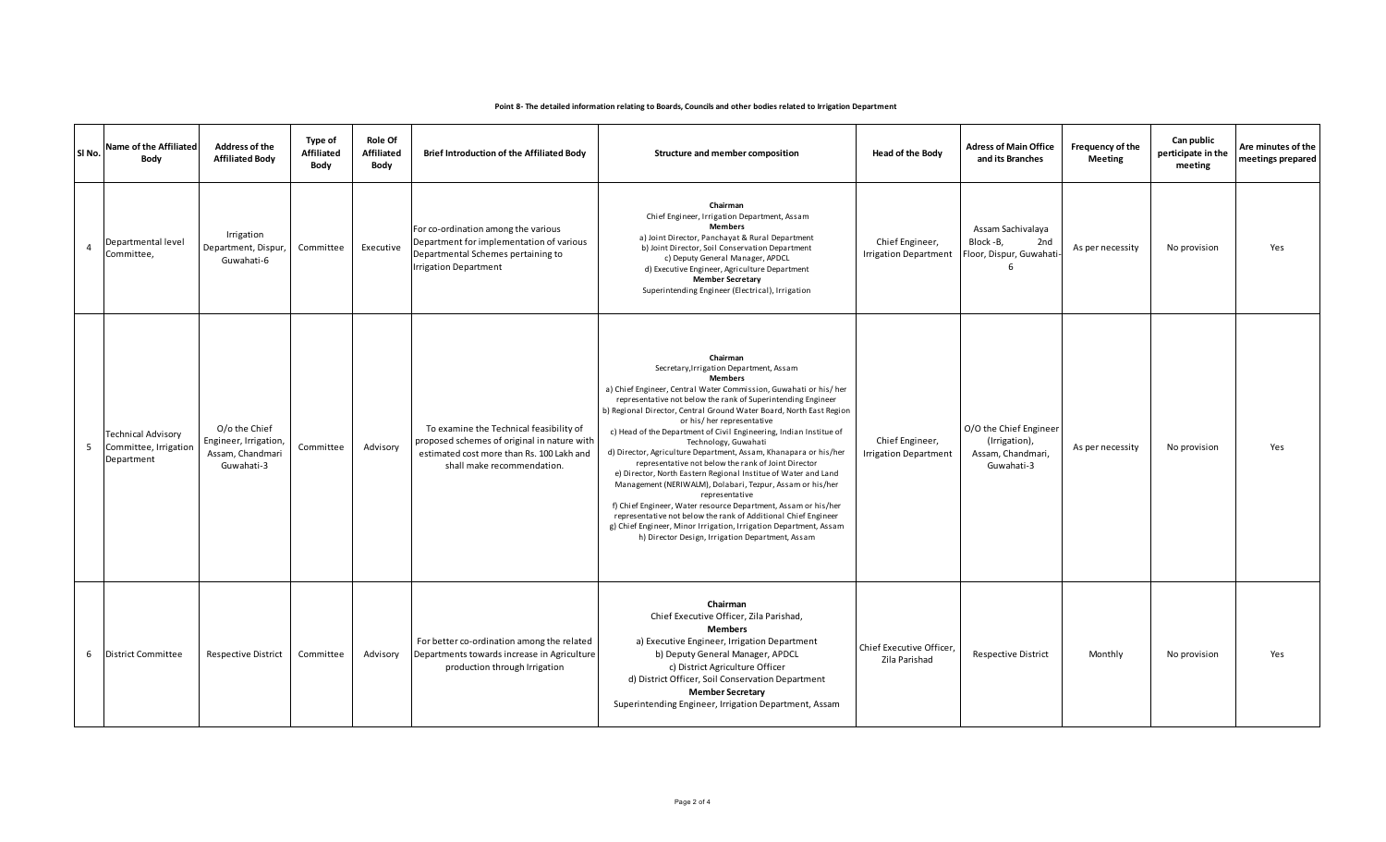|                | SI No. | Name of the Affiliated<br>Body                                   | <b>Address of the</b><br><b>Affiliated Body</b>                          | Type of<br>Affiliated<br>Body | <b>Role Of</b><br><b>Affiliated</b><br>Body | Brief Introduction of the Affiliated Body                                                                                                                         | Structure and member composition                                                                                                                                                                                                                                                                                                                                                                                                                                                                                                                                                                                                                                                                                                                                                                                                                                                                                                                     | <b>Head of the Body</b>                         | <b>Adress of Main Office</b><br>and its Branches                           | Frequency of the<br><b>Meeting</b> | Can public<br>perticipate in the<br>meeting | Are minutes of the<br>meetings prepared |
|----------------|--------|------------------------------------------------------------------|--------------------------------------------------------------------------|-------------------------------|---------------------------------------------|-------------------------------------------------------------------------------------------------------------------------------------------------------------------|------------------------------------------------------------------------------------------------------------------------------------------------------------------------------------------------------------------------------------------------------------------------------------------------------------------------------------------------------------------------------------------------------------------------------------------------------------------------------------------------------------------------------------------------------------------------------------------------------------------------------------------------------------------------------------------------------------------------------------------------------------------------------------------------------------------------------------------------------------------------------------------------------------------------------------------------------|-------------------------------------------------|----------------------------------------------------------------------------|------------------------------------|---------------------------------------------|-----------------------------------------|
| $\overline{4}$ |        | Departmental level<br>Committee,                                 | Irrigation<br>Department, Dispur,<br>Guwahati-6                          | Committee                     | Executive                                   | For co-ordination among the various<br>Department for implementation of various<br>Departmental Schemes pertaining to<br><b>Irrigation Department</b>             | Chairman<br>Chief Engineer, Irrigation Department, Assam<br><b>Members</b><br>a) Joint Director, Panchayat & Rural Department<br>b) Joint Director, Soil Conservation Department<br>c) Deputy General Manager, APDCL<br>d) Executive Engineer, Agriculture Department<br><b>Member Secretary</b><br>Superintending Engineer (Electrical), Irrigation                                                                                                                                                                                                                                                                                                                                                                                                                                                                                                                                                                                                 | Chief Engineer,<br><b>Irrigation Department</b> | Assam Sachivalaya<br>Block -B,<br>2nd<br>Floor, Dispur, Guwahati<br>6      | As per necessity                   | No provision                                | Yes                                     |
|                | 5      | <b>Technical Advisory</b><br>Committee, Irrigation<br>Department | O/o the Chief<br>Engineer, Irrigation,<br>Assam, Chandmari<br>Guwahati-3 | Committee                     | Advisory                                    | To examine the Technical feasibility of<br>proposed schemes of original in nature with<br>estimated cost more than Rs. 100 Lakh and<br>shall make recommendation. | Chairman<br>Secretary, Irrigation Department, Assam<br><b>Members</b><br>a) Chief Engineer, Central Water Commission, Guwahati or his/her<br>representative not below the rank of Superintending Engineer<br>b) Regional Director, Central Ground Water Board, North East Region<br>or his/her representative<br>c) Head of the Department of Civil Engineering, Indian Institue of<br>Technology, Guwahati<br>d) Director, Agriculture Department, Assam, Khanapara or his/her<br>representative not below the rank of Joint Director<br>e) Director, North Eastern Regional Institue of Water and Land<br>Management (NERIWALM), Dolabari, Tezpur, Assam or his/her<br>representative<br>f) Chief Engineer, Water resource Department, Assam or his/her<br>representative not below the rank of Additional Chief Engineer<br>g) Chief Engineer, Minor Irrigation, Irrigation Department, Assam<br>h) Director Design, Irrigation Department, Assam | Chief Engineer,<br><b>Irrigation Department</b> | O/O the Chief Engineer<br>(Irrigation),<br>Assam, Chandmari,<br>Guwahati-3 | As per necessity                   | No provision                                | Yes                                     |
|                | 6      | <b>District Committee</b>                                        | Respective District                                                      | Committee                     | Advisory                                    | For better co-ordination among the related<br>Departments towards increase in Agriculture<br>production through Irrigation                                        | Chairman<br>Chief Executive Officer, Zila Parishad,<br><b>Members</b><br>a) Executive Engineer, Irrigation Department<br>b) Deputy General Manager, APDCL<br>c) District Agriculture Officer<br>d) District Officer, Soil Conservation Department<br><b>Member Secretary</b><br>Superintending Engineer, Irrigation Department, Assam                                                                                                                                                                                                                                                                                                                                                                                                                                                                                                                                                                                                                | Chief Executive Officer,<br>Zila Parishad       | <b>Respective District</b>                                                 | Monthly                            | No provision                                | Yes                                     |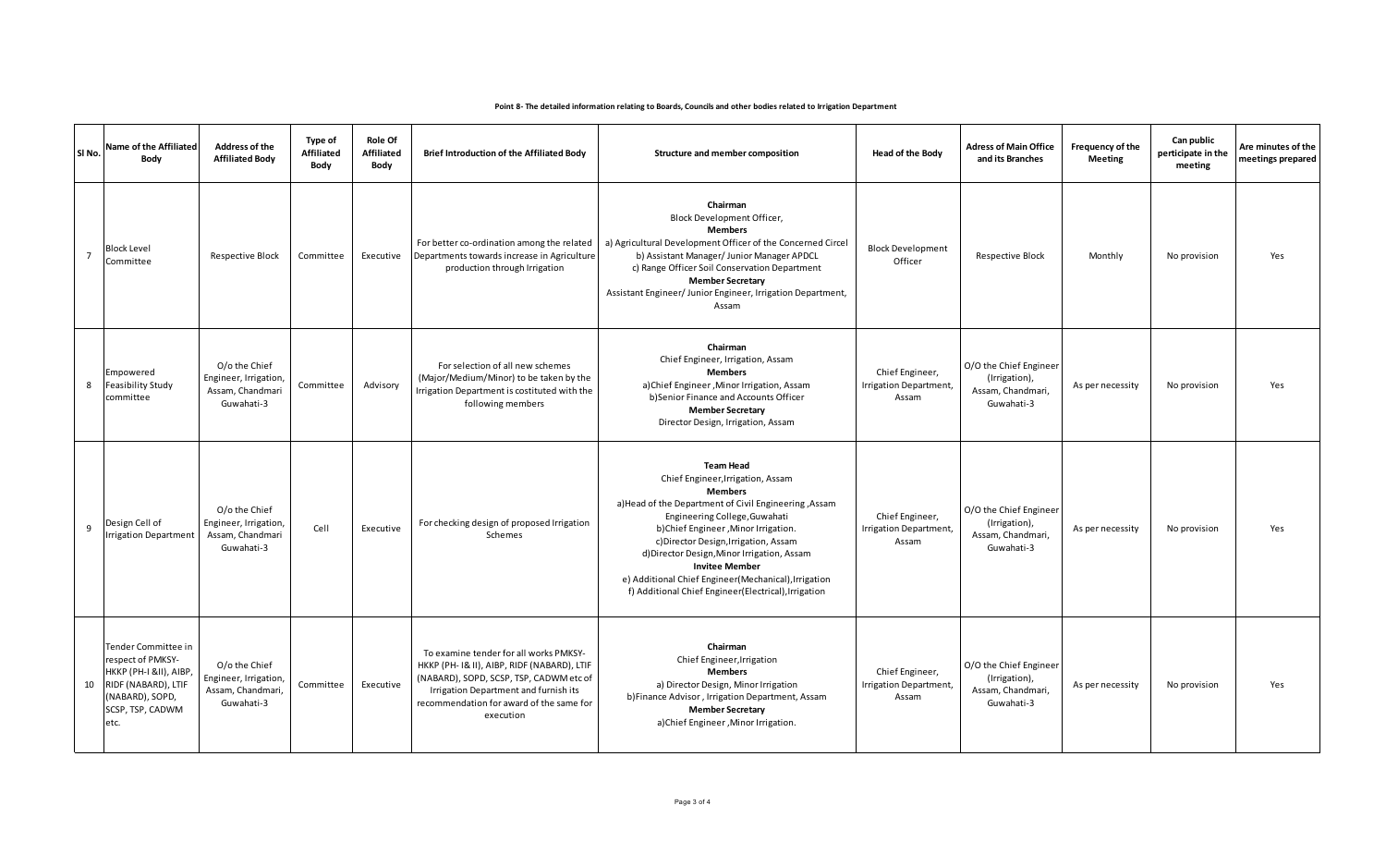| SI No.         | Name of the Affiliated<br>Body                                                                                                                 | <b>Address of the</b><br><b>Affiliated Body</b>                           | <b>Type of</b><br>Affiliated<br>Body | <b>Role Of</b><br><b>Affiliated</b><br>Body | Brief Introduction of the Affiliated Body                                                                                                                                                                                          | Structure and member composition                                                                                                                                                                                                                                                                                                                                                                                                           | <b>Head of the Body</b>                            | <b>Adress of Main Office</b><br>and its Branches                           | Frequency of the<br><b>Meeting</b> | Can public<br>perticipate in the<br>meeting | Are minutes of the<br>meetings prepared |
|----------------|------------------------------------------------------------------------------------------------------------------------------------------------|---------------------------------------------------------------------------|--------------------------------------|---------------------------------------------|------------------------------------------------------------------------------------------------------------------------------------------------------------------------------------------------------------------------------------|--------------------------------------------------------------------------------------------------------------------------------------------------------------------------------------------------------------------------------------------------------------------------------------------------------------------------------------------------------------------------------------------------------------------------------------------|----------------------------------------------------|----------------------------------------------------------------------------|------------------------------------|---------------------------------------------|-----------------------------------------|
| $\overline{7}$ | <b>Block Level</b><br>Committee                                                                                                                | Respective Block                                                          | Committee                            | Executive                                   | For better co-ordination among the related<br>Departments towards increase in Agriculture<br>production through Irrigation                                                                                                         | Chairman<br>Block Development Officer,<br><b>Members</b><br>a) Agricultural Development Officer of the Concerned Circel<br>b) Assistant Manager/ Junior Manager APDCL<br>c) Range Officer Soil Conservation Department<br><b>Member Secretary</b><br>Assistant Engineer/ Junior Engineer, Irrigation Department,<br>Assam                                                                                                                  | <b>Block Development</b><br>Officer                | <b>Respective Block</b>                                                    | Monthly                            | No provision                                | Yes                                     |
|                | Empowered<br>8<br><b>Feasibility Study</b><br>committee                                                                                        | O/o the Chief<br>Engineer, Irrigation,<br>Assam, Chandmari<br>Guwahati-3  | Committee                            | Advisory                                    | For selection of all new schemes<br>(Major/Medium/Minor) to be taken by the<br>Irrigation Department is costituted with the<br>following members                                                                                   | Chairman<br>Chief Engineer, Irrigation, Assam<br><b>Members</b><br>a)Chief Engineer, Minor Irrigation, Assam<br>b)Senior Finance and Accounts Officer<br><b>Member Secretary</b><br>Director Design, Irrigation, Assam                                                                                                                                                                                                                     | Chief Engineer,<br>Irrigation Department,<br>Assam | O/O the Chief Engineer<br>(Irrigation),<br>Assam, Chandmari,<br>Guwahati-3 | As per necessity                   | No provision                                | Yes                                     |
| 9              | Design Cell of<br><b>Irrigation Department</b>                                                                                                 | O/o the Chief<br>Engineer, Irrigation,<br>Assam, Chandmari<br>Guwahati-3  | Cell                                 | Executive                                   | For checking design of proposed Irrigation<br>Schemes                                                                                                                                                                              | <b>Team Head</b><br>Chief Engineer, Irrigation, Assam<br><b>Members</b><br>a) Head of the Department of Civil Engineering, Assam<br>Engineering College, Guwahati<br>b)Chief Engineer, Minor Irrigation.<br>c) Director Design, Irrigation, Assam<br>d) Director Design, Minor Irrigation, Assam<br><b>Invitee Member</b><br>e) Additional Chief Engineer (Mechanical), Irrigation<br>f) Additional Chief Engineer(Electrical), Irrigation | Chief Engineer,<br>Irrigation Department,<br>Assam | O/O the Chief Engineer<br>(Irrigation),<br>Assam, Chandmari,<br>Guwahati-3 | As per necessity                   | No provision                                | Yes                                     |
|                | Tender Committee in<br>respect of PMKSY-<br>HKKP (PH-I &II), AIBP,<br>RIDF (NABARD), LTIF<br>10<br>(NABARD), SOPD,<br>SCSP, TSP, CADWM<br>etc. | O/o the Chief<br>Engineer, Irrigation,<br>Assam, Chandmari,<br>Guwahati-3 | Committee                            | Executive                                   | To examine tender for all works PMKSY-<br>HKKP (PH- I& II), AIBP, RIDF (NABARD), LTIF<br>(NABARD), SOPD, SCSP, TSP, CADWM etc of<br>Irrigation Department and furnish its<br>recommendation for award of the same for<br>execution | Chairman<br>Chief Engineer, Irrigation<br><b>Members</b><br>a) Director Design, Minor Irrigation<br>b) Finance Advisor, Irrigation Department, Assam<br><b>Member Secretary</b><br>a)Chief Engineer, Minor Irrigation.                                                                                                                                                                                                                     | Chief Engineer,<br>Irrigation Department,<br>Assam | O/O the Chief Engineer<br>(Irrigation),<br>Assam, Chandmari,<br>Guwahati-3 | As per necessity                   | No provision                                | Yes                                     |